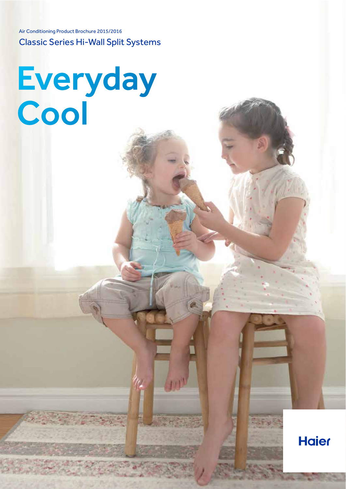Air Conditioning Product Brochure 2015/2016 Classic Series Hi-Wall Split Systems

Everyday Cool

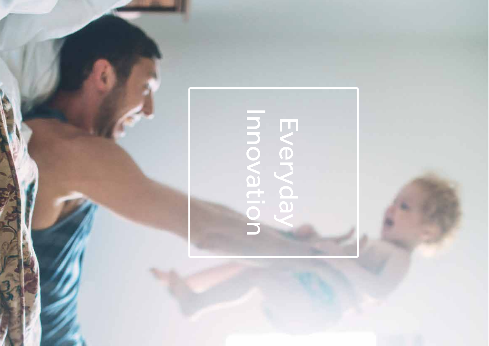# Everyday Innovation Innovation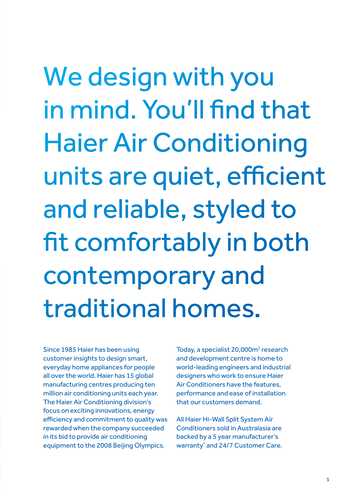We design with you in mind. You'll fnd that Haier Air Conditioning units are quiet, efficient and reliable, styled to ft comfortably in both contemporary and traditional homes.

Since 1985 Haier has been using customer insights to design smart, everyday home appliances for people all over the world. Haier has 15 global manufacturing centres producing ten million air conditioning units each year. The Haier Air Conditioning division's focus on exciting innovations, energy efficiency and commitment to quality was rewarded when the company succeeded in its bid to provide air conditioning equipment to the 2008 Beijing Olympics.

Today, a specialist 20,000m<sup>2</sup> research and development centre is home to world-leading engineers and industrial designers who work to ensure Haier Air Conditioners have the features, performance and ease of installation that our customers demand.

All Haier Hi-Wall Split System Air Conditioners sold in Australasia are backed by a 5 year manufacturer's warranty<sup>\*</sup> and 24/7 Customer Care.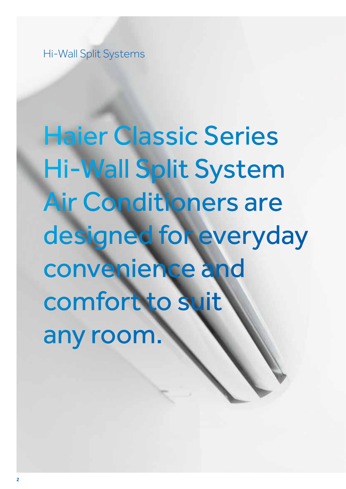Hi-Wall Split Systems

Haier Classic Series Hi-Wall Split System Air Conditioners are designed for everyday convenience and comfort to suit any room.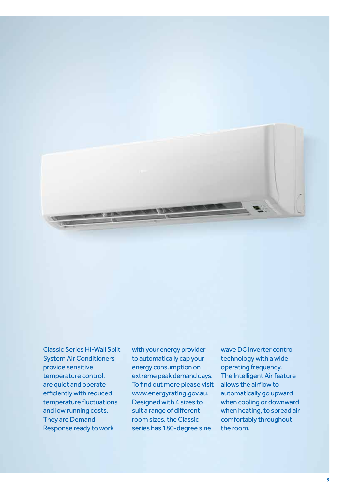

Classic Series Hi-Wall Split System Air Conditioners provide sensitive temperature control, are quiet and operate efficiently with reduced temperature fuctuations and low running costs. They are Demand Response ready to work

with your energy provider to automatically cap your energy consumption on extreme peak demand days. To fnd out more please visit www.energyrating.gov.au. Designed with 4 sizes to suit a range of diferent room sizes, the Classic series has 180-degree sine

wave DC inverter control technology with a wide operating frequency. The Intelligent Air feature allows the airfow to automatically go upward when cooling or downward when heating, to spread air comfortably throughout the room.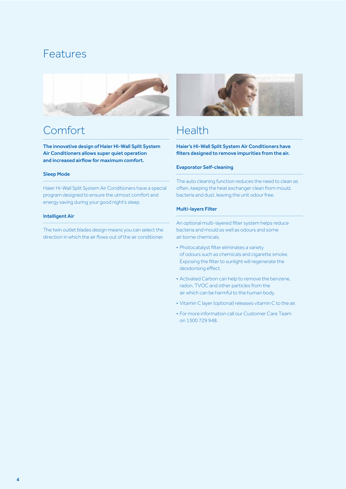## Features



## Comfort

The innovative design of Haier Hi-Wall Split System Air Conditioners allows super quiet operation and increased airfow for maximum comfort.

#### Sleep Mode

Haier Hi-Wall Split System Air Conditioners have a special program designed to ensure the utmost comfort and energy saving during your good night's sleep.

#### Intelligent Air

The twin outlet blades design means you can select the direction in which the air fows out of the air conditioner.



## Health

Haier's Hi-Wall Split System Air Conditioners have flters designed to remove impurities from the air.

#### Evaporator Self-cleaning

The auto cleaning function reduces the need to clean as often, keeping the heat exchanger clean from mould, bacteria and dust, leaving the unit odour free.

#### Multi-layers Filter

An optional multi-layered flter system helps reduce bacteria and mould as well as odours and some air borne chemicals.

- Photocatalyst flter eliminates a variety of odours such as chemicals and cigarette smoke. Exposing the flter to sunlight will regenerate the deodorising effect.
- Activated Carbon can help to remove the benzene, radon, TVOC and other particles from the air which can be harmful to the human body.
- Vitamin C layer (optional) releases vitamin C to the air.
- For more information call our Customer Care Team on 1300 729 948.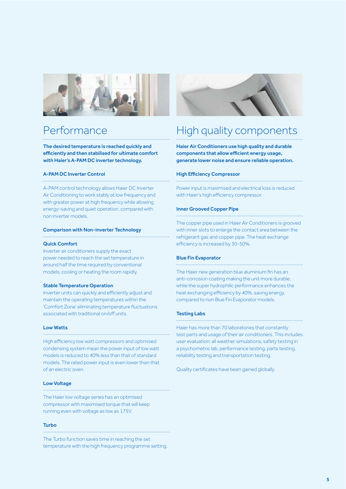

## Performance

The desired temperature is reached quickly and efficiently and then stabilised for ultimate comfort with Haier's A-PAM DC inverter technology.

#### A-PAM DC Inverter Control

A-PAM control technology allows Haier DC Inverter Air Conditioning to work stably at low frequency and with greater power at high frequency while allowing energy–saving and quiet operation, compared with non inverter models.

#### Comparison with Non-inverter Technology

#### Quick Comfort

Inverter air conditioners supply the exact power needed to reach the set temperature in around half the time required by conventional models, cooling or heating the room rapidly.

#### Stable Temperature Operation

Inverter units can quickly and efficiently adjust and maintain the operating temperatures within the 'Comfort Zone' eliminating temperature fuctuations associated with traditional on/off units.

#### Low Watts

High efficiency low watt compressors and optimised condensing system mean the power input of low watt models is reduced to 40% less than that of standard models. The rated power input is even lower than that of an electric oven.

#### Low Voltage

The Haier low voltage series has an optimised compressor with maximised torque that will keep running even with voltage as low as 175V.

#### Turbo

The Turbo function saves time in reaching the set temperature with the high frequency programme setting.



## High quality components

Haier Air Conditioners use high quality and durable components that allow efficient energy usage, generate lower noise and ensure reliable operation.

#### **High Efficiency Compressor**

Power input is maximised and electrical loss is reduced with Haier's high efficiency compressor.

#### Inner Grooved Copper Pipe

The copper pipe used in Haier Air Conditioners is grooved with inner slots to enlarge the contact area between the refrigerant gas and copper pipe. The heat exchange efficiency is increased by 30-50%.

#### Blue Fin Evaporator

The Haier new generation blue aluminium fn has an anti-corrosion coating making the unit more durable, while the super hydrophilic performance enhances the heat exchanging efficiency by 40%, saving energy, compared to non Blue Fin Evaporator models.

#### Testing Labs

Haier has more than 70 laboratories that constantly test parts and usage of their air conditioners. This includes user evaluation; all weather simulations, safety testing in a psychometric lab, performance testing, parts testing, reliability testing and transportation testing.

Quality certifcates have been gained globally.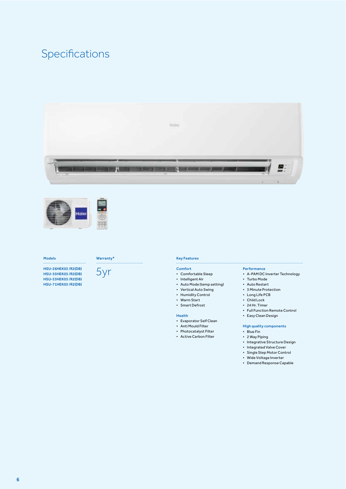## Specifications





#### Models

HSU-26HEK03 /R2(DB) HSU-35HEK03 /R2(DB) HSU-53HEK03 /R2(DB) HSU-71HEK03 /R2(DB)



#### Key Features

#### Comfort

- Comfortable Sleep
- Intelligent Air
- Auto Mode (temp setting)
- Vertical Auto Swing
- Humidity Control
- 
- Warm Start • Smart Defrost
- 

#### Health

- Evaporator Self Clean
- Anti Mould Filter
- Photocatalyst Filter
- Active Carbon Filter

#### Performance

- A-PAM DC Inverter Technology
- Turbo Mode
- Auto Restart
- 3 Minute Protection
- Long Life PCB
- Child Lock
- 24 Hr. Timer
- Full Function Remote Control
- Easy Clean Design

#### High quality components

- Blue Fin
- 2 Way Piping
- Integrative Structure Design
- Integrated Valve Cover
- Single Step Motor Control
- Wide Voltage Inverter
- Demand Response Capable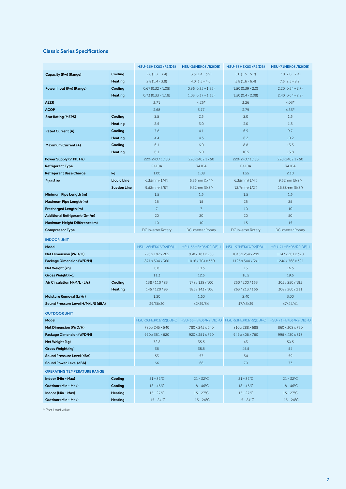#### Classic Series Specifcations

|                                    |                     | HSU-26HEK03 /R2(DB)  | HSU-35HEK03 /R2(DB)  | HSU-53HEK03 /R2(DB)                                                                 | HSU-71HEK03 /R2(DB)  |
|------------------------------------|---------------------|----------------------|----------------------|-------------------------------------------------------------------------------------|----------------------|
| Capacity (Kw) (Range)              | Cooling             | $2.6(1.3 - 3.4)$     | $3.5(1.4 - 3.9)$     | $5.0(1.5 - 5.7)$                                                                    | $7.0(2.0 - 7.4)$     |
|                                    | <b>Heating</b>      | $2.8(1.4 - 3.8)$     | $4.0(1.5 - 4.6)$     | $5.8(1.6 - 6.4)$                                                                    | $7.5(2.5 - 8.2)$     |
| Power Input (Kw) (Range)           | Cooling             | $0.67(0.32 - 1.08)$  | $0.96(0.35 - 1.35)$  | $1.50(0.39 - 2.0)$                                                                  | $2.20(0.54 - 2.7)$   |
|                                    | <b>Heating</b>      | $0.73(0.33 - 1.18)$  | $1.03(0.37 - 1.35)$  | $1.50(0.4 - 2.08)$                                                                  | $2.40(0.64 - 2.8)$   |
| <b>AEER</b>                        |                     | 3.71                 | $4.25*$              | 3.26                                                                                | $4.03*$              |
| <b>ACOP</b>                        |                     | 3.68                 | 3.77                 | 3.79                                                                                | $4.53*$              |
| <b>Star Rating (MEPS)</b>          | Cooling             | 2.5                  | 2.5                  | 2.0                                                                                 | 1.5                  |
|                                    | <b>Heating</b>      | 2.5                  | 3.0                  | 3.0                                                                                 | 1.5                  |
| <b>Rated Current (A)</b>           | Cooling             | 3.8                  | 4.1                  | 6.5                                                                                 | 9.7                  |
|                                    | <b>Heating</b>      | 4.4                  | 4.3                  | 6.2                                                                                 | 10.2                 |
| <b>Maximum Current (A)</b>         | Cooling             | 6.1                  | 6.0                  | 8.8                                                                                 | 13.3                 |
|                                    | <b>Heating</b>      | 6.1                  | 6.0                  | 10.5                                                                                | 13.8                 |
| Power Supply (V, Ph, Hz)           |                     | 220-240/1/50         | 220-240/1/50         | 220-240 / 1 / 50                                                                    | 220-240/1/50         |
| <b>Refrigerant Type</b>            |                     | <b>R410A</b>         | R410A                | <b>R410A</b>                                                                        | R410A                |
| <b>Refrigerant Base Charge</b>     | kg                  | 1.00                 | 1.08                 | 1.55                                                                                | 2.10                 |
| <b>Pipe Size</b>                   | <b>Liquid Line</b>  | $6.35$ mm $(1/4")$   | $6.35$ mm $(1/4")$   | 6.35mm(1/4")                                                                        | 9.52mm(3/8")         |
|                                    | <b>Suction Line</b> | 9.52mm(3/8")         | 9.52mm(3/8")         | $12.7$ mm $(1/2")$                                                                  | 15.88mm (5/8")       |
| Minimum Pipe Length (m)            |                     | 1.5                  | 1.5                  | 1.5                                                                                 | 1.5                  |
| Maximum Pipe Length (m)            |                     | 15                   | 15                   | 25                                                                                  | 25                   |
| Precharged Length (m)              |                     | $\overline{7}$       | $\overline{7}$       | 10                                                                                  | 10                   |
| Additional Refrigerant (Gm/m)      |                     | 20                   | 20                   | 20                                                                                  | 50                   |
| Maximum Height Difference (m)      |                     | 10                   | 10                   | 15                                                                                  | 15                   |
| <b>Compressor Type</b>             |                     | DC Inverter Rotary   | DC Inverter Rotary   | DC Inverter Rotary                                                                  | DC Inverter Rotary   |
| <b>INDOOR UNIT</b>                 |                     |                      |                      |                                                                                     |                      |
| Model                              |                     | HSU-26HEK03/R2(DB)-I | HSU-35HEK03/R2(DB)-I | HSU-53HEK03/R2(DB)-I                                                                | HSU-71HEK03/R2(DB)-I |
| Net Dimension (W/D/H)              |                     | 795 x 187 x 265      | 938 x 187 x 265      | 1046 x 234 x 299                                                                    | 1147 x 261 x 320     |
| Package Dimension (W/D/H)          |                     | 871 x 304 x 360      | 1016 x 304 x 360     | 1126 x 344 x 391                                                                    | 1240 x 368 x 391     |
| Net Weight (kg)                    |                     | 8.8                  | 10.5                 | 13                                                                                  | 16.5                 |
| Gross Weight (kg)                  |                     | 11.3                 | 12.5                 | 16.5                                                                                | 19.5                 |
| Air Circulation H/M/L (L/s)        | Cooling             | 138/110/83           | 178 / 138 / 100      | 250/200/153                                                                         | 305 / 250 / 195      |
|                                    | <b>Heating</b>      | 145/120/93           | 185/143/106          | 263/213/166                                                                         | 308/260/211          |
| Moisture Removal (L/Hr)            |                     | 1.20                 | 1.60                 | 2.40                                                                                | 3.00                 |
| Sound Pressure Level H/M/L/S (dBA) |                     | 39/36/30             | 42/39/34             | 47/43/39                                                                            | 47/44/41             |
| <b>OUTDOOR UNIT</b>                |                     |                      |                      |                                                                                     |                      |
| Model                              |                     |                      |                      | HSU-26HEK03/R2(DB)-O HSU-35HEK03/R2(DB)-O HSU-53HEK03/R2(DB)-O HSU-71HEK03/R2(DB)-O |                      |
| Net Dimension (W/D/H)              |                     | 780 x 245 x 540      | 780 x 245 x 640      | 810 x 288 x 688                                                                     | 860 x 308 x 730      |
| Package Dimension (W/D/H)          |                     | 920 x 351 x 620      | 920 x 351 x 720      | 949 x 406 x 760                                                                     | 995 x 420 x 813      |
| Net Weight (kg)                    |                     | 32.2                 | 35.5                 | 43                                                                                  | 50.5                 |
| Gross Weight (kg)                  |                     | 35                   | 38.5                 | 45.5                                                                                | 54                   |
| Sound Pressure Level (dBA)         |                     | 53                   | 53                   | 54                                                                                  | 59                   |
| Sound Power Level (dBA)            |                     | 66                   | 68                   | 70                                                                                  | 73                   |
| <b>OPERATING TEMPERATURE RANGE</b> |                     |                      |                      |                                                                                     |                      |
| Indoor (Min ~ Max)                 | Cooling             | $21 - 32^{\circ}$ C  | $21 - 32^{\circ}$ C  | $21 - 32^{\circ}$ C                                                                 | $21 - 32^{\circ}$ C  |
| Outdoor (Min ~ Max)                | Cooling             | $18 - 46^{\circ}$ C  | $18 - 46^{\circ}$ C  | $18 - 46^{\circ}$ C                                                                 | $18 - 46^{\circ}$ C  |
| Indoor (Min ~ Max)                 | <b>Heating</b>      | $15 - 27^{\circ}$ C  | $15 - 27^{\circ}$ C  | $15 - 27^{\circ}C$                                                                  | $15 - 27^{\circ}$ C  |
| Outdoor (Min ~ Max)                | <b>Heating</b>      | $-15 - 24$ °C        | $-15 - 24$ °C        | $-15 - 24$ °C                                                                       | $-15 - 24$ °C        |

\* Part Load value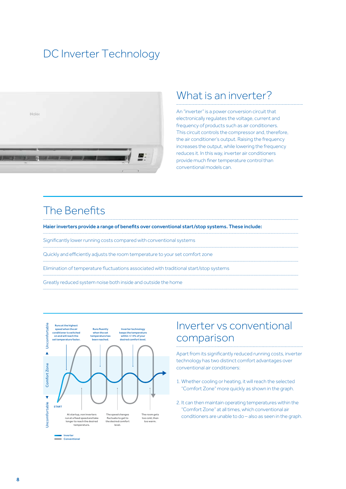## DC Inverter Technology



### What is an inverter?

An "inverter" is a power conversion circuit that electronically regulates the voltage, current and frequency of products such as air conditioners. This circuit controls the compressor and, therefore. the air conditioner's output. Raising the frequency increases the output, while lowering the frequency reduces it. In this way, inverter air conditioners provide much finer temperature control than conventional models can.

Inverter vs conventional

Apart from its significantly reduced running costs, inverter technology has two distinct comfort advantages over

1. Whether cooling or heating, it will reach the selected "Comfort Zone" more quickly as shown in the graph.

2. It can then maintain operating temperatures within the

conditioners are unable to do - also as seen in the graph.

"Comfort Zone" at all times, which conventional air

comparison

conventional air conditioners:

## The Benefits

Haier inverters provide a range of benefits over conventional start/stop systems. These include:

Significantly lower running costs compared with conventional systems

Quickly and efficiently adjusts the room temperature to your set comfort zone

Elimination of temperature fluctuations associated with traditional start/stop systems

Greatly reduced system noise both inside and outside the home



Inverter<br>Conventiona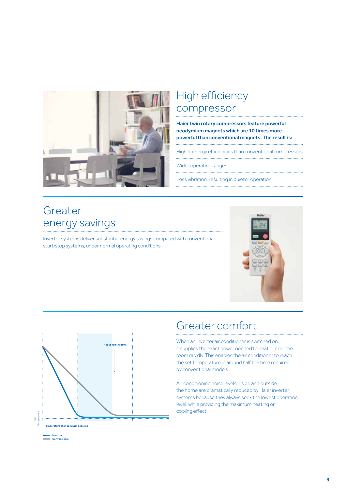

## High efficiency compressor

Haier twin rotary compressors feature powerful neodymium magnets which are 10 times more powerful than conventional magnets. The result is:

Higher energy efficiencies than conventional compressors

Wider operating ranges

Less vibration, resulting in quieter operation

## Greater energy savings

Inverter systems deliver substantial energy savings compared with conventional start/stop systems, under normal operating conditions.





## Greater comfort

When an inverter air conditioner is switched on. it supplies the exact power needed to heat or cool the room rapidly. This enables the air conditioner to reach the set temperature in around half the time required by conventional models.

Air conditioning noise levels inside and outside the home are dramatically reduced by Haier inverter systems because they always seek the lowest operating level, while providing the maximum heating or cooling effect.